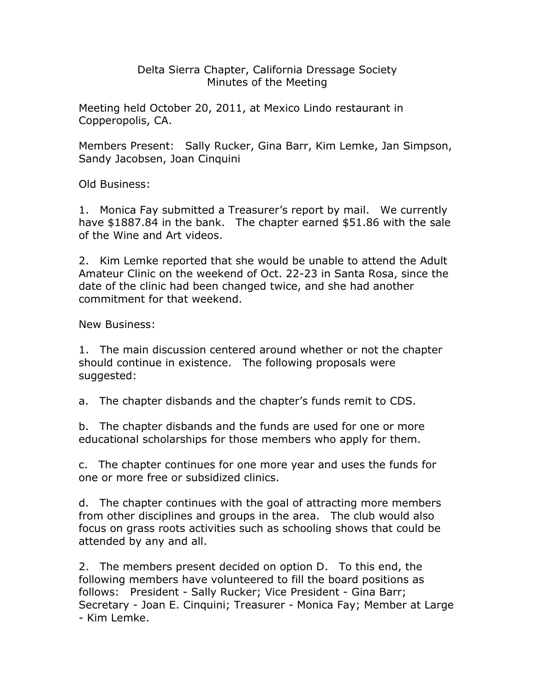## Delta Sierra Chapter, California Dressage Society Minutes of the Meeting

Meeting held October 20, 2011, at Mexico Lindo restaurant in Copperopolis, CA.

Members Present: Sally Rucker, Gina Barr, Kim Lemke, Jan Simpson, Sandy Jacobsen, Joan Cinquini

Old Business:

1. Monica Fay submitted a Treasurer's report by mail. We currently have \$1887.84 in the bank. The chapter earned \$51.86 with the sale of the Wine and Art videos.

2. Kim Lemke reported that she would be unable to attend the Adult Amateur Clinic on the weekend of Oct. 22-23 in Santa Rosa, since the date of the clinic had been changed twice, and she had another commitment for that weekend.

New Business:

1. The main discussion centered around whether or not the chapter should continue in existence. The following proposals were suggested:

a. The chapter disbands and the chapter's funds remit to CDS.

b. The chapter disbands and the funds are used for one or more educational scholarships for those members who apply for them.

c. The chapter continues for one more year and uses the funds for one or more free or subsidized clinics.

d. The chapter continues with the goal of attracting more members from other disciplines and groups in the area. The club would also focus on grass roots activities such as schooling shows that could be attended by any and all.

2. The members present decided on option D. To this end, the following members have volunteered to fill the board positions as follows: President - Sally Rucker; Vice President - Gina Barr; Secretary - Joan E. Cinquini; Treasurer - Monica Fay; Member at Large - Kim Lemke.